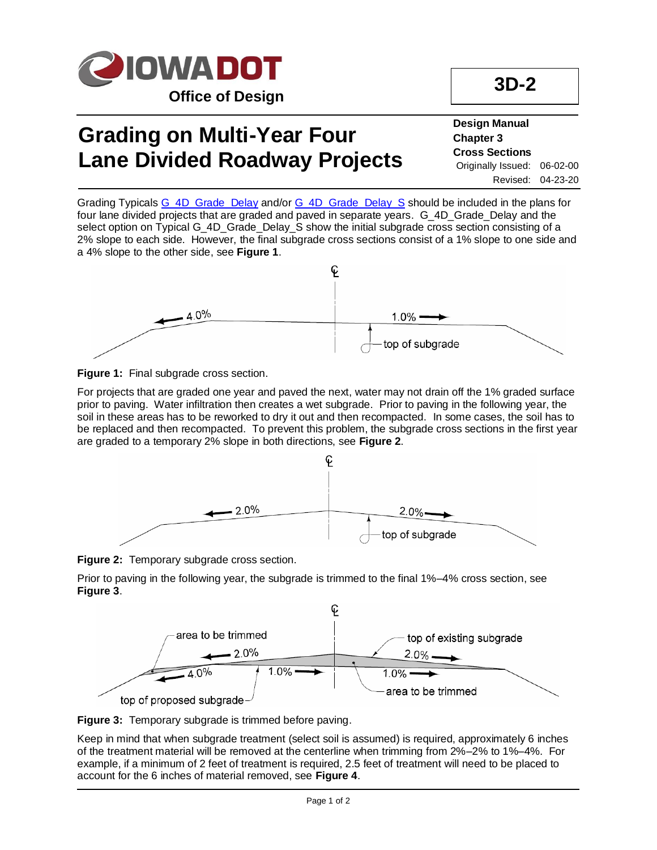

## **Grading on Multi-Year Four Lane Divided Roadway Projects**

## **Design Manual Chapter 3 Cross Sections** Originally Issued: 06-02-00 Revised: 04-23-20

Grading Typicals [G\\_4D\\_Grade\\_Delay](../tnt/PDFsandWebFiles/IndividualPDFs/G_4D_Grade_Delay.pdf) and/or [G\\_4D\\_Grade\\_Delay\\_S](../tnt/PDFsandWebFiles/IndividualPDFs/G_4D_Grade_Delay_S.pdf) should be included in the plans for four lane divided projects that are graded and paved in separate vears. G\_4D\_Grade\_Delay and the select option on Typical G\_4D\_Grade\_Delay\_S show the initial subgrade cross section consisting of a 2% slope to each side. However, the final subgrade cross sections consist of a 1% slope to one side and a 4% slope to the other side, see **Figure 1**.





For projects that are graded one year and paved the next, water may not drain off the 1% graded surface prior to paving. Water infiltration then creates a wet subgrade. Prior to paving in the following year, the soil in these areas has to be reworked to dry it out and then recompacted. In some cases, the soil has to be replaced and then recompacted. To prevent this problem, the subgrade cross sections in the first year are graded to a temporary 2% slope in both directions, see **Figure 2**.





Prior to paving in the following year, the subgrade is trimmed to the final 1%–4% cross section, see **Figure 3**.





Keep in mind that when subgrade treatment (select soil is assumed) is required, approximately 6 inches of the treatment material will be removed at the centerline when trimming from 2%–2% to 1%–4%. For example, if a minimum of 2 feet of treatment is required, 2.5 feet of treatment will need to be placed to account for the 6 inches of material removed, see **Figure 4**.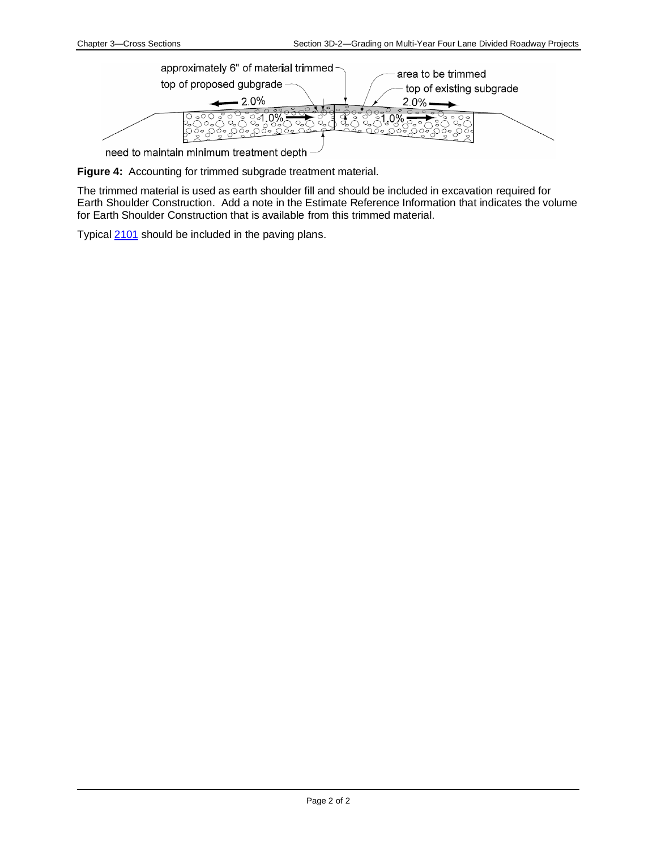

**Figure 4:** Accounting for trimmed subgrade treatment material.

The trimmed material is used as earth shoulder fill and should be included in excavation required for Earth Shoulder Construction. Add a note in the Estimate Reference Information that indicates the volume for Earth Shoulder Construction that is available from this trimmed material.

Typica[l 2101](../tnt/PDFsandWebFiles/IndividualPDFs/2101.pdf) should be included in the paving plans.